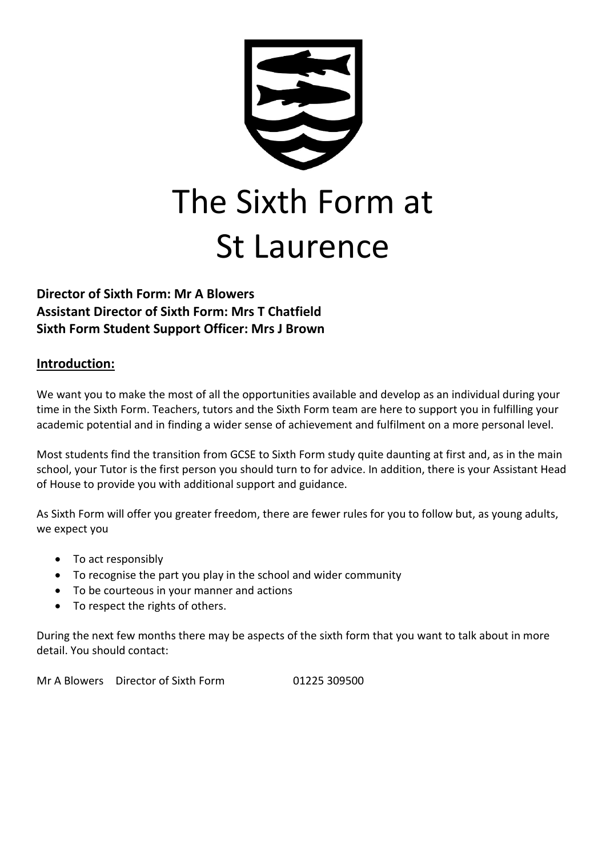

## **Director of Sixth Form: Mr A Blowers Assistant Director of Sixth Form: Mrs T Chatfield Sixth Form Student Support Officer: Mrs J Brown**

#### **Introduction:**

We want you to make the most of all the opportunities available and develop as an individual during your time in the Sixth Form. Teachers, tutors and the Sixth Form team are here to support you in fulfilling your academic potential and in finding a wider sense of achievement and fulfilment on a more personal level.

Most students find the transition from GCSE to Sixth Form study quite daunting at first and, as in the main school, your Tutor is the first person you should turn to for advice. In addition, there is your Assistant Head of House to provide you with additional support and guidance.

As Sixth Form will offer you greater freedom, there are fewer rules for you to follow but, as young adults, we expect you

- To act responsibly
- To recognise the part you play in the school and wider community
- To be courteous in your manner and actions
- To respect the rights of others.

During the next few months there may be aspects of the sixth form that you want to talk about in more detail. You should contact:

Mr A Blowers Director of Sixth Form 01225 309500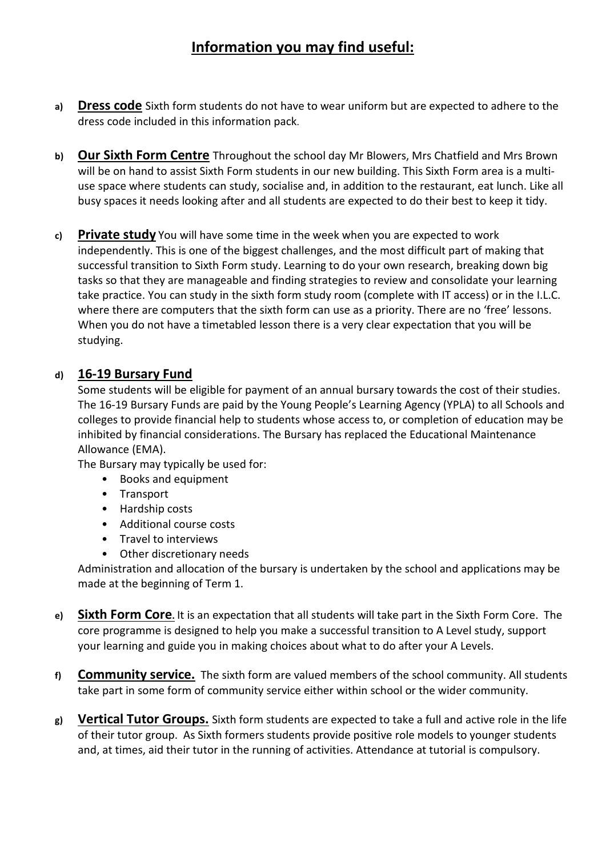# **Information you may find useful:**

- **a) Dress code** Sixth form students do not have to wear uniform but are expected to adhere to the dress code included in this information pack.
- **b) Our Sixth Form Centre** Throughout the school day Mr Blowers, Mrs Chatfield and Mrs Brown will be on hand to assist Sixth Form students in our new building. This Sixth Form area is a multiuse space where students can study, socialise and, in addition to the restaurant, eat lunch. Like all busy spaces it needs looking after and all students are expected to do their best to keep it tidy.
- **c) Private study** You will have some time in the week when you are expected to work independently. This is one of the biggest challenges, and the most difficult part of making that successful transition to Sixth Form study. Learning to do your own research, breaking down big tasks so that they are manageable and finding strategies to review and consolidate your learning take practice. You can study in the sixth form study room (complete with IT access) or in the I.L.C. where there are computers that the sixth form can use as a priority. There are no 'free' lessons. When you do not have a timetabled lesson there is a very clear expectation that you will be studying.

#### **d) 16-19 Bursary Fund**

Some students will be eligible for payment of an annual bursary towards the cost of their studies. The 16-19 Bursary Funds are paid by the Young People's Learning Agency (YPLA) to all Schools and colleges to provide financial help to students whose access to, or completion of education may be inhibited by financial considerations. The Bursary has replaced the Educational Maintenance Allowance (EMA).

The Bursary may typically be used for:

- Books and equipment
- Transport
- Hardship costs
- Additional course costs
- Travel to interviews
- Other discretionary needs

Administration and allocation of the bursary is undertaken by the school and applications may be made at the beginning of Term 1.

- **e) Sixth Form Core.** It is an expectation that all students will take part in the Sixth Form Core. The core programme is designed to help you make a successful transition to A Level study, support your learning and guide you in making choices about what to do after your A Levels.
- **f) Community service.** The sixth form are valued members of the school community. All students take part in some form of community service either within school or the wider community.
- **g) Vertical Tutor Groups.** Sixth form students are expected to take a full and active role in the life of their tutor group. As Sixth formers students provide positive role models to younger students and, at times, aid their tutor in the running of activities. Attendance at tutorial is compulsory.